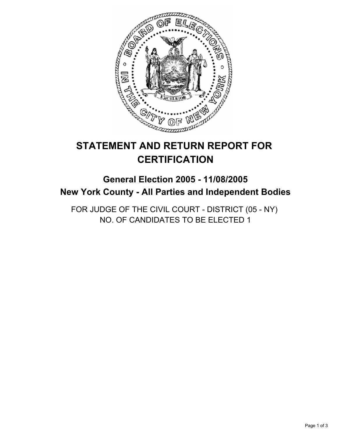

# **STATEMENT AND RETURN REPORT FOR CERTIFICATION**

# **General Election 2005 - 11/08/2005 New York County - All Parties and Independent Bodies**

FOR JUDGE OF THE CIVIL COURT - DISTRICT (05 - NY) NO. OF CANDIDATES TO BE ELECTED 1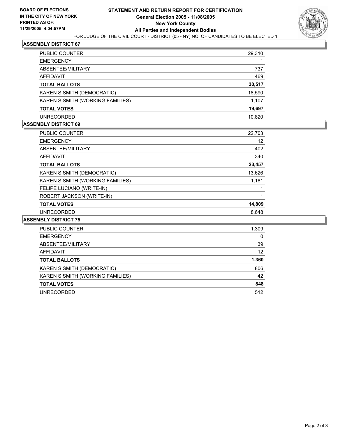

## **ASSEMBLY DISTRICT 67**

| PUBLIC COUNTER                   | 29,310 |
|----------------------------------|--------|
| <b>EMERGENCY</b>                 |        |
| ABSENTEE/MILITARY                | 737    |
| AFFIDAVIT                        | 469    |
| <b>TOTAL BALLOTS</b>             | 30,517 |
| KAREN S SMITH (DEMOCRATIC)       | 18,590 |
| KAREN S SMITH (WORKING FAMILIES) | 1,107  |
| <b>TOTAL VOTES</b>               | 19,697 |
| <b>UNRECORDED</b>                | 10.820 |

#### **ASSEMBLY DISTRICT 69**

| <b>PUBLIC COUNTER</b>            | 22,703 |  |
|----------------------------------|--------|--|
| <b>EMERGENCY</b>                 | 12     |  |
| ABSENTEE/MILITARY                | 402    |  |
| <b>AFFIDAVIT</b>                 | 340    |  |
| <b>TOTAL BALLOTS</b>             | 23,457 |  |
| KAREN S SMITH (DEMOCRATIC)       | 13,626 |  |
| KAREN S SMITH (WORKING FAMILIES) | 1,181  |  |
| FELIPE LUCIANO (WRITE-IN)        |        |  |
| ROBERT JACKSON (WRITE-IN)        |        |  |
| <b>TOTAL VOTES</b>               | 14,809 |  |
| <b>UNRECORDED</b>                | 8.648  |  |

#### **ASSEMBLY DISTRICT 75**

| PUBLIC COUNTER                   | 1,309 |
|----------------------------------|-------|
| <b>EMERGENCY</b>                 | 0     |
| ABSENTEE/MILITARY                | 39    |
| AFFIDAVIT                        | 12    |
| <b>TOTAL BALLOTS</b>             | 1,360 |
| KAREN S SMITH (DEMOCRATIC)       | 806   |
| KAREN S SMITH (WORKING FAMILIES) | 42    |
| <b>TOTAL VOTES</b>               | 848   |
| <b>UNRECORDED</b>                | 512   |